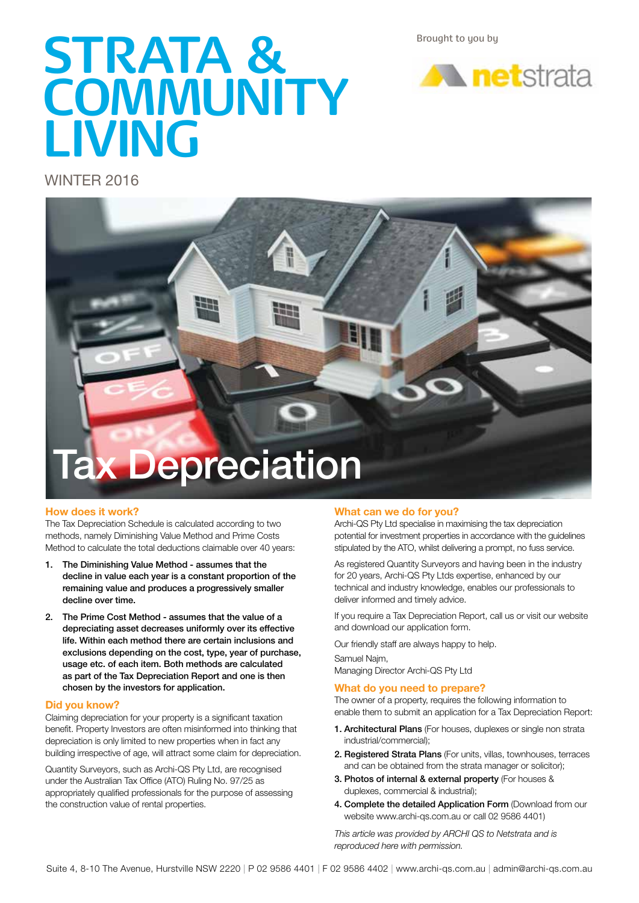Brought to you by

# **STRATA & COMMUNITY LIVING**



WINTER 2016



#### **How does it work?**

The Tax Depreciation Schedule is calculated according to two methods, namely Diminishing Value Method and Prime Costs Method to calculate the total deductions claimable over 40 years:

- 1. The Diminishing Value Method assumes that the decline in value each year is a constant proportion of the remaining value and produces a progressively smaller decline over time.
- 2. The Prime Cost Method assumes that the value of a depreciating asset decreases uniformly over its effective life. Within each method there are certain inclusions and exclusions depending on the cost, type, year of purchase, usage etc. of each item. Both methods are calculated as part of the Tax Depreciation Report and one is then chosen by the investors for application.

#### **Did you know?**

Claiming depreciation for your property is a significant taxation benefit. Property Investors are often misinformed into thinking that depreciation is only limited to new properties when in fact any building irrespective of age, will attract some claim for depreciation.

Quantity Surveyors, such as Archi-QS Pty Ltd, are recognised under the Australian Tax Office (ATO) Ruling No. 97/25 as appropriately qualified professionals for the purpose of assessing the construction value of rental properties.

#### **What can we do for you?**

Archi-QS Pty Ltd specialise in maximising the tax depreciation potential for investment properties in accordance with the guidelines stipulated by the ATO, whilst delivering a prompt, no fuss service.

As registered Quantity Surveyors and having been in the industry for 20 years, Archi-QS Pty Ltds expertise, enhanced by our technical and industry knowledge, enables our professionals to deliver informed and timely advice.

If you require a Tax Depreciation Report, call us or visit our website and download our application form.

Our friendly staff are always happy to help.

Samuel Najm, Managing Director Archi-QS Pty Ltd

#### **What do you need to prepare?**

The owner of a property, requires the following information to enable them to submit an application for a Tax Depreciation Report:

- 1. Architectural Plans (For houses, duplexes or single non strata industrial/commercial);
- 2. Registered Strata Plans (For units, villas, townhouses, terraces and can be obtained from the strata manager or solicitor);
- 3. Photos of internal & external property (For houses & duplexes, commercial & industrial);
- 4. Complete the detailed Application Form (Download from our website www.archi-qs.com.au or call 02 9586 4401)

*This article was provided by ARCHI QS to Netstrata and is reproduced here with permission.*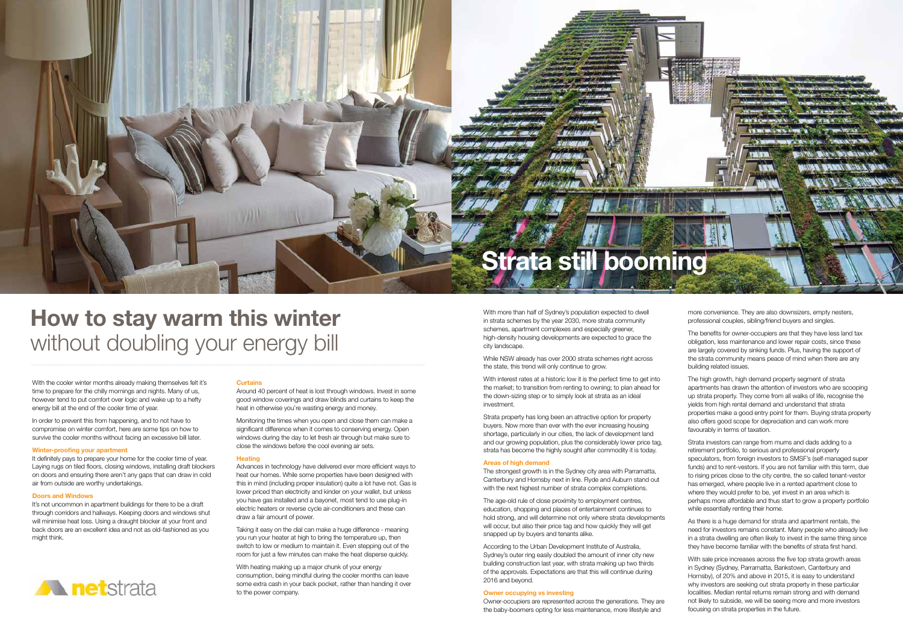## **How to stay warm this winter** without doubling your energy bill



With the cooler winter months already making themselves felt it's time to prepare for the chilly mornings and nights. Many of us, however tend to put comfort over logic and wake up to a hefty energy bill at the end of the cooler time of year.

It definitely pays to prepare your home for the cooler time of year. Laying rugs on tiled floors, closing windows, installing draft blockers on doors and ensuring there aren't any gaps that can draw in cold air from outside are worthy undertakings.

In order to prevent this from happening, and to not have to compromise on winter comfort, here are some tips on how to survive the cooler months without facing an excessive bill later.

#### **Winter-proofing your apartment**

It's not uncommon in apartment buildings for there to be a draft through corridors and hallways. Keeping doors and windows shut will minimise heat loss. Using a draught blocker at your front and back doors are an excellent idea and not as old-fashioned as you might think.



#### **Doors and Windows**

#### **Curtains**

Around 40 percent of heat is lost through windows. Invest in some good window coverings and draw blinds and curtains to keep the heat in otherwise you're wasting energy and money.

Monitoring the times when you open and close them can make a significant difference when it comes to conserving energy. Open windows during the day to let fresh air through but make sure to close the windows before the cool evening air sets.

With interest rates at a historic low it is the perfect time to get into the market; to transition from renting to owning; to plan ahead for the down-sizing step or to simply look at strata as an ideal investment.

#### **Heating**

The strongest growth is in the Sydney city area with Parramatta, Canterbury and Hornsby next in line. Ryde and Auburn stand out with the next highest number of strata complex completions.

Advances in technology have delivered ever more efficient ways to heat our homes. While some properties have been designed with this in mind (including proper insulation) quite a lot have not. Gas is lower priced than electricity and kinder on your wallet, but unless you have gas installed and a bayonet, most tend to use plug-in electric heaters or reverse cycle air-conditioners and these can draw a fair amount of power.

Taking it easy on the dial can make a huge difference - meaning you run your heater at high to bring the temperature up, then switch to low or medium to maintain it. Even stepping out of the room for just a few minutes can make the heat disperse quickly.

With heating making up a major chunk of your energy consumption, being mindful during the cooler months can leave some extra cash in your back pocket, rather than handing it over to the power company.

Strata investors can range from mums and dads adding to a retirement portfolio, to serious and professional property speculators, from foreign investors to SMSF's (self-managed super funds) and to rent-vestors. If you are not familiar with this term, due to rising prices close to the city centre, the so called tenant-vestor has emerged, where people live in a rented apartment close to where they would prefer to be, yet invest in an area which is perhaps more affordable and thus start to grow a property portfolio while essentially renting their home.

With more than half of Sydney's population expected to dwell in strata schemes by the year 2030, more strata community schemes, apartment complexes and especially greener, high-density housing developments are expected to grace the city landscape.

While NSW already has over 2000 strata schemes right across the state, this trend will only continue to grow.

Strata property has long been an attractive option for property buyers. Now more than ever with the ever increasing housing shortage, particularly in our cities, the lack of development land and our growing population, plus the considerably lower price tag, strata has become the highly sought after commodity it is today.

#### **Areas of high demand**

The age-old rule of close proximity to employment centres, education, shopping and places of entertainment continues to hold strong, and will determine not only where strata developments will occur, but also their price tag and how quickly they will get snapped up by buyers and tenants alike.

According to the Urban Development Institute of Australia, Sydney's outer ring easily doubled the amount of inner city new building construction last year, with strata making up two thirds of the approvals. Expectations are that this will continue during 2016 and beyond.

#### **Owner occupying vs investing**

Owner-occupiers are represented across the generations. They are the baby-boomers opting for less maintenance, more lifestyle and

more convenience. They are also downsizers, empty nesters, professional couples, sibling/friend buyers and singles.

The benefits for owner-occupiers are that they have less land tax obligation, less maintenance and lower repair costs, since these are largely covered by sinking funds. Plus, having the support of the strata community means peace of mind when there are any building related issues.

The high growth, high demand property segment of strata apartments has drawn the attention of investors who are scooping up strata property. They come from all walks of life, recognise the yields from high rental demand and understand that strata properties make a good entry point for them. Buying strata property also offers good scope for depreciation and can work more favourably in terms of taxation.

As there is a huge demand for strata and apartment rentals, the need for investors remains constant. Many people who already live in a strata dwelling are often likely to invest in the same thing since they have become familiar with the benefits of strata first hand.

With sale price increases across the five top strata growth areas in Sydney (Sydney, Parramatta, Bankstown, Canterbury and Hornsby), of 20% and above in 2015, it is easy to understand why investors are seeking out strata property in these particular localities. Median rental returns remain strong and with demand not likely to subside, we will be seeing more and more investors focusing on strata properties in the future.